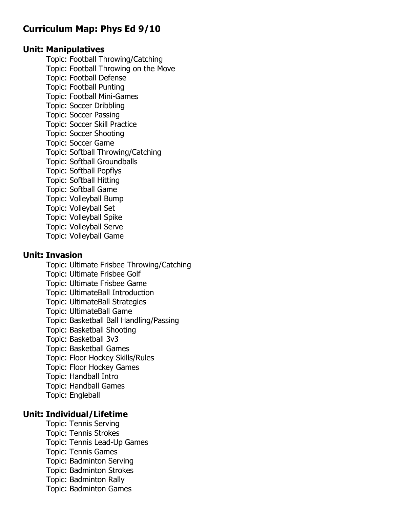# **Curriculum Map: Phys Ed 9/10**

#### **Unit: Manipulatives**

Topic: Football Throwing/Catching Topic: Football Throwing on the Move Topic: Football Defense Topic: Football Punting Topic: Football Mini-Games Topic: Soccer Dribbling Topic: Soccer Passing Topic: Soccer Skill Practice Topic: Soccer Shooting Topic: Soccer Game Topic: Softball Throwing/Catching Topic: Softball Groundballs Topic: Softball Popflys Topic: Softball Hitting Topic: Softball Game Topic: Volleyball Bump Topic: Volleyball Set Topic: Volleyball Spike Topic: Volleyball Serve Topic: Volleyball Game

#### **Unit: Invasion**

Topic: Ultimate Frisbee Throwing/Catching Topic: Ultimate Frisbee Golf Topic: Ultimate Frisbee Game Topic: UltimateBall Introduction Topic: UltimateBall Strategies Topic: UltimateBall Game Topic: Basketball Ball Handling/Passing Topic: Basketball Shooting Topic: Basketball 3v3 Topic: Basketball Games Topic: Floor Hockey Skills/Rules Topic: Floor Hockey Games Topic: Handball Intro Topic: Handball Games Topic: Engleball

#### **Unit: Individual/Lifetime**

Topic: Tennis Serving Topic: Tennis Strokes Topic: Tennis Lead-Up Games Topic: Tennis Games Topic: Badminton Serving Topic: Badminton Strokes Topic: Badminton Rally Topic: Badminton Games